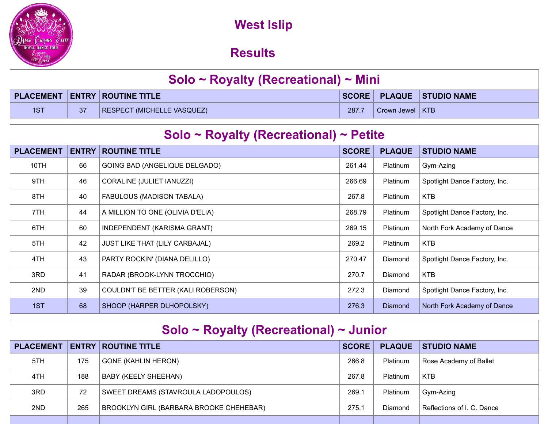

## **West Islip NY May - Overall Results**

| Solo ~ Royalty (Recreational) ~ Mini |                 |                                          |       |                   |                          |  |
|--------------------------------------|-----------------|------------------------------------------|-------|-------------------|--------------------------|--|
|                                      |                 | <b>PLACEMENT   ENTRY   ROUTINE TITLE</b> |       |                   | SCORE PLAQUE STUDIO NAME |  |
| 1ST                                  | 37 <sup>°</sup> | <b>RESPECT (MICHELLE VASQUEZ)</b>        | 287.7 | Crown Jewel   KTB |                          |  |

| Solo ~ Royalty (Recreational) ~ Petite |              |                                       |              |                |                               |  |  |  |
|----------------------------------------|--------------|---------------------------------------|--------------|----------------|-------------------------------|--|--|--|
| <b>PLACEMENT</b>                       | <b>ENTRY</b> | <b>ROUTINE TITLE</b>                  | <b>SCORE</b> | <b>PLAQUE</b>  | <b>STUDIO NAME</b>            |  |  |  |
| 10TH                                   | 66           | GOING BAD (ANGELIQUE DELGADO)         | 261.44       | Platinum       | Gym-Azing                     |  |  |  |
| 9TH                                    | 46           | CORALINE (JULIET IANUZZI)             | 266.69       | Platinum       | Spotlight Dance Factory, Inc. |  |  |  |
| 8TH                                    | 40           | FABULOUS (MADISON TABALA)             | 267.8        | Platinum       | <b>KTB</b>                    |  |  |  |
| 7TH                                    | 44           | A MILLION TO ONE (OLIVIA D'ELIA)      | 268.79       | Platinum       | Spotlight Dance Factory, Inc. |  |  |  |
| 6TH                                    | 60           | INDEPENDENT (KARISMA GRANT)           | 269.15       | Platinum       | North Fork Academy of Dance   |  |  |  |
| 5TH                                    | 42           | <b>JUST LIKE THAT (LILY CARBAJAL)</b> | 269.2        | Platinum       | <b>KTB</b>                    |  |  |  |
| 4TH                                    | 43           | PARTY ROCKIN' (DIANA DELILLO)         | 270.47       | Diamond        | Spotlight Dance Factory, Inc. |  |  |  |
| 3RD                                    | 41           | RADAR (BROOK-LYNN TROCCHIO)           | 270.7        | Diamond        | <b>KTB</b>                    |  |  |  |
| 2ND                                    | 39           | COULDN'T BE BETTER (KALI ROBERSON)    | 272.3        | Diamond        | Spotlight Dance Factory, Inc. |  |  |  |
| 1ST                                    | 68           | SHOOP (HARPER DLHOPOLSKY)             | 276.3        | <b>Diamond</b> | North Fork Academy of Dance   |  |  |  |

| Solo ~ Royalty (Recreational) ~ Junior |              |                                         |              |                 |                            |  |  |  |
|----------------------------------------|--------------|-----------------------------------------|--------------|-----------------|----------------------------|--|--|--|
| <b>PLACEMENT</b>                       | <b>ENTRY</b> | <b>ROUTINE TITLE</b>                    | <b>SCORE</b> | <b>PLAQUE</b>   | <b>STUDIO NAME</b>         |  |  |  |
| 5TH                                    | 175          | <b>GONE (KAHLIN HERON)</b>              | 266.8        | <b>Platinum</b> | Rose Academy of Ballet     |  |  |  |
| 4TH                                    | 188          | BABY (KEELY SHEEHAN)                    | 267.8        | <b>Platinum</b> | <b>KTB</b>                 |  |  |  |
| 3RD                                    | 72           | SWEET DREAMS (STAVROULA LADOPOULOS)     | 269.7        | <b>Platinum</b> | Gym-Azing                  |  |  |  |
| 2ND                                    | 265          | BROOKLYN GIRL (BARBARA BROOKE CHEHEBAR) | 275.1        | Diamond         | Reflections of I. C. Dance |  |  |  |
|                                        |              |                                         |              |                 |                            |  |  |  |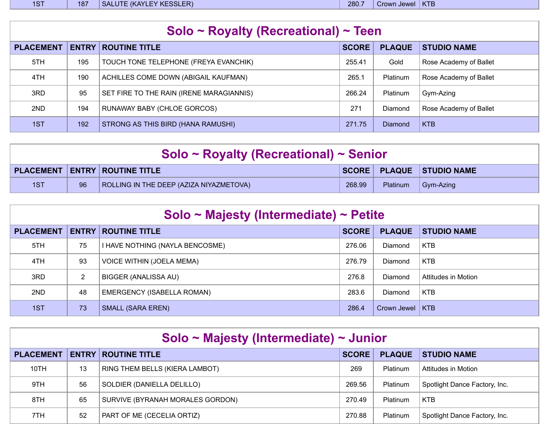| <b>Contract Contract Contract Contract Contract Contract Contract Contract Contract Contract Contract Contract Co</b><br>$\sim$<br>157 | $\mathcal{L}^{\text{max}}_{\text{max}}$ and $\mathcal{L}^{\text{max}}_{\text{max}}$ and $\mathcal{L}^{\text{max}}_{\text{max}}$<br>187 | EY KESSLER)<br><b>KAYLF</b><br>11 I T<br><b>SAL</b> | 280.7 | Jewel<br>Crown | $\mathcal{L}^{\text{max}}_{\text{max}}$ and $\mathcal{L}^{\text{max}}_{\text{max}}$ and $\mathcal{L}^{\text{max}}_{\text{max}}$<br><b>KTE</b> |
|----------------------------------------------------------------------------------------------------------------------------------------|----------------------------------------------------------------------------------------------------------------------------------------|-----------------------------------------------------|-------|----------------|-----------------------------------------------------------------------------------------------------------------------------------------------|
|                                                                                                                                        |                                                                                                                                        |                                                     |       |                |                                                                                                                                               |

| Solo ~ Royalty (Recreational) ~ Teen |              |                                          |              |                |                        |  |  |  |
|--------------------------------------|--------------|------------------------------------------|--------------|----------------|------------------------|--|--|--|
| <b>PLACEMENT</b>                     | <b>ENTRY</b> | <b>ROUTINE TITLE</b>                     | <b>SCORE</b> | <b>PLAQUE</b>  | <b>STUDIO NAME</b>     |  |  |  |
| 5TH                                  | 195          | TOUCH TONE TELEPHONE (FREYA EVANCHIK)    | 255.41       | Gold           | Rose Academy of Ballet |  |  |  |
| 4TH                                  | 190          | ACHILLES COME DOWN (ABIGAIL KAUFMAN)     | 265.1        | Platinum       | Rose Academy of Ballet |  |  |  |
| 3RD                                  | 95           | SET FIRE TO THE RAIN (IRENE MARAGIANNIS) | 266.24       | Platinum       | Gym-Azing              |  |  |  |
| 2ND                                  | 194          | <b>RUNAWAY BABY (CHLOE GORCOS)</b>       | 271          | Diamond        | Rose Academy of Ballet |  |  |  |
| 1ST                                  | 192          | STRONG AS THIS BIRD (HANA RAMUSHI)       | 271.75       | <b>Diamond</b> | <b>KTB</b>             |  |  |  |

| Solo ~ Royalty (Recreational) ~ Senior |    |                                          |        |          |                          |  |
|----------------------------------------|----|------------------------------------------|--------|----------|--------------------------|--|
|                                        |    | <b>PLACEMENT   ENTRY   ROUTINE TITLE</b> |        |          | SCORE PLAQUE STUDIO NAME |  |
| 1ST                                    | 96 | ROLLING IN THE DEEP (AZIZA NIYAZMETOVA)  | 268.99 | Platinum | $\Box$ Gym-Azing         |  |

| Solo ~ Majesty (Intermediate) ~ Petite |    |                                  |              |                     |                     |  |  |  |
|----------------------------------------|----|----------------------------------|--------------|---------------------|---------------------|--|--|--|
| <b>PLACEMENT</b>                       |    | <b>ENTRY ROUTINE TITLE</b>       | <b>SCORE</b> | <b>PLAQUE</b>       | <b>STUDIO NAME</b>  |  |  |  |
| 5TH                                    | 75 | I HAVE NOTHING (NAYLA BENCOSME)  | 276.06       | Diamond             | <b>KTB</b>          |  |  |  |
| 4TH                                    | 93 | <b>VOICE WITHIN (JOELA MEMA)</b> | 276.79       | Diamond             | <b>KTB</b>          |  |  |  |
| 3RD                                    | 2  | BIGGER (ANALISSA AU)             | 276.8        | Diamond             | Attitudes in Motion |  |  |  |
| 2ND                                    | 48 | EMERGENCY (ISABELLA ROMAN)       | 283.6        | Diamond             | <b>KTB</b>          |  |  |  |
| 1ST                                    | 73 | SMALL (SARA EREN)                | 286.4        | Crown Jewel $ $ KTB |                     |  |  |  |

| Solo ~ Majesty (Intermediate) ~ Junior |              |                                       |              |               |                               |  |  |  |
|----------------------------------------|--------------|---------------------------------------|--------------|---------------|-------------------------------|--|--|--|
| <b>PLACEMENT</b>                       | <b>ENTRY</b> | <b>ROUTINE TITLE</b>                  | <b>SCORE</b> | <b>PLAQUE</b> | <b>STUDIO NAME</b>            |  |  |  |
| 10TH                                   | 13           | <b>RING THEM BELLS (KIERA LAMBOT)</b> | 269          | Platinum      | Attitudes in Motion           |  |  |  |
| 9TH                                    | 56           | SOLDIER (DANIELLA DELILLO)            | 269.56       | Platinum      | Spotlight Dance Factory, Inc. |  |  |  |
| 8TH                                    | 65           | SURVIVE (BYRANAH MORALES GORDON)      | 270.49       | Platinum      | <b>KTB</b>                    |  |  |  |
| 7TH.                                   | 52           | PART OF ME (CECELIA ORTIZ)            | 270.88       | Platinum      | Spotlight Dance Factory, Inc. |  |  |  |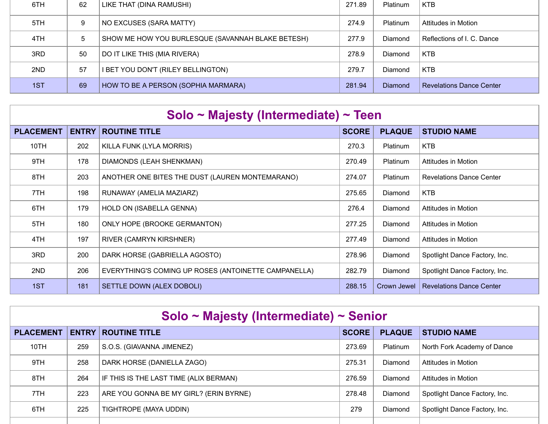| 6TH  | 62 | LIKE THAT (DINA RAMUSHI)                          | 271.89 | <b>Platinum</b> | <b>KTB</b>                      |
|------|----|---------------------------------------------------|--------|-----------------|---------------------------------|
| 5TH. | 9  | NO EXCUSES (SARA MATTY)                           | 274.9  | <b>Platinum</b> | Attitudes in Motion             |
| 4TH. | 5  | SHOW ME HOW YOU BURLESQUE (SAVANNAH BLAKE BETESH) | 277.9  | Diamond         | Reflections of I. C. Dance      |
| 3RD  | 50 | DO IT LIKE THIS (MIA RIVERA)                      | 278.9  | Diamond         | KTB                             |
| 2ND  | 57 | I BET YOU DON'T (RILEY BELLINGTON)                | 279.7  | <b>Diamond</b>  | <b>KTB</b>                      |
| 1ST  | 69 | HOW TO BE A PERSON (SOPHIA MARMARA)               | 281.94 | <b>Diamond</b>  | <b>Revelations Dance Center</b> |

| Solo ~ Majesty (Intermediate) ~ Teen |              |                                                      |              |                 |                                 |  |  |  |  |
|--------------------------------------|--------------|------------------------------------------------------|--------------|-----------------|---------------------------------|--|--|--|--|
| <b>PLACEMENT</b>                     | <b>ENTRY</b> | <b>ROUTINE TITLE</b>                                 | <b>SCORE</b> | <b>PLAQUE</b>   | <b>STUDIO NAME</b>              |  |  |  |  |
| 10TH                                 | 202          | KILLA FUNK (LYLA MORRIS)                             | 270.3        | Platinum        | <b>KTB</b>                      |  |  |  |  |
| 9TH                                  | 178          | DIAMONDS (LEAH SHENKMAN)                             | 270.49       | <b>Platinum</b> | Attitudes in Motion             |  |  |  |  |
| 8TH                                  | 203          | ANOTHER ONE BITES THE DUST (LAUREN MONTEMARANO)      | 274.07       | <b>Platinum</b> | <b>Revelations Dance Center</b> |  |  |  |  |
| 7TH                                  | 198          | RUNAWAY (AMELIA MAZIARZ)                             | 275.65       | Diamond         | <b>KTB</b>                      |  |  |  |  |
| 6TH                                  | 179          | HOLD ON (ISABELLA GENNA)                             | 276.4        | Diamond         | Attitudes in Motion             |  |  |  |  |
| 5TH                                  | 180          | ONLY HOPE (BROOKE GERMANTON)                         | 277.25       | Diamond         | Attitudes in Motion             |  |  |  |  |
| 4TH                                  | 197          | <b>RIVER (CAMRYN KIRSHNER)</b>                       | 277.49       | Diamond         | <b>Attitudes in Motion</b>      |  |  |  |  |
| 3RD                                  | 200          | DARK HORSE (GABRIELLA AGOSTO)                        | 278.96       | Diamond         | Spotlight Dance Factory, Inc.   |  |  |  |  |
| 2ND                                  | 206          | EVERYTHING'S COMING UP ROSES (ANTOINETTE CAMPANELLA) | 282.79       | Diamond         | Spotlight Dance Factory, Inc.   |  |  |  |  |
| 1ST                                  | 181          | SETTLE DOWN (ALEX DOBOLI)                            | 288.15       | Crown Jewel     | <b>Revelations Dance Center</b> |  |  |  |  |

| Solo ~ Majesty (Intermediate) ~ Senior |              |                                        |              |                 |                               |  |  |  |
|----------------------------------------|--------------|----------------------------------------|--------------|-----------------|-------------------------------|--|--|--|
| <b>PLACEMENT</b>                       | <b>ENTRY</b> | <b>ROUTINE TITLE</b>                   | <b>SCORE</b> | <b>PLAQUE</b>   | <b>STUDIO NAME</b>            |  |  |  |
| 10TH                                   | 259          | S.O.S. (GIAVANNA JIMENEZ)              | 273.69       | <b>Platinum</b> | North Fork Academy of Dance   |  |  |  |
| 9TH                                    | 258          | DARK HORSE (DANIELLA ZAGO)             | 275.31       | <b>Diamond</b>  | Attitudes in Motion           |  |  |  |
| 8TH                                    | 264          | IF THIS IS THE LAST TIME (ALIX BERMAN) | 276.59       | <b>Diamond</b>  | Attitudes in Motion           |  |  |  |
| 7TH                                    | 223          | ARE YOU GONNA BE MY GIRL? (ERIN BYRNE) | 278.48       | <b>Diamond</b>  | Spotlight Dance Factory, Inc. |  |  |  |
| 6TH                                    | 225          | TIGHTROPE (MAYA UDDIN)                 | 279          | Diamond         | Spotlight Dance Factory, Inc. |  |  |  |
|                                        |              |                                        |              |                 |                               |  |  |  |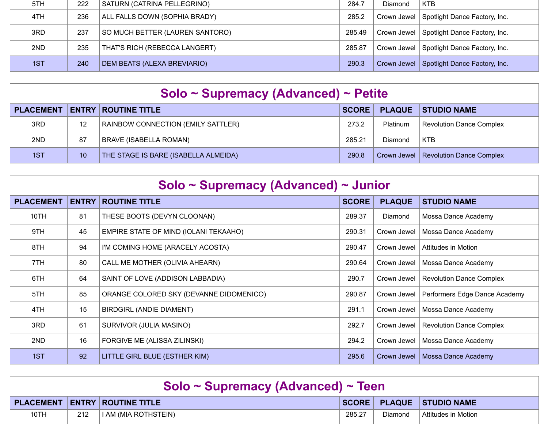| 5TH. | 222 | SATURN (CATRINA PELLEGRINO)     | 284.7  | Diamond | <b>KTB</b>                                  |
|------|-----|---------------------------------|--------|---------|---------------------------------------------|
| 4TH. | 236 | ALL FALLS DOWN (SOPHIA BRADY)   | 285.2  |         | Crown Jewel   Spotlight Dance Factory, Inc. |
| 3RD  | 237 | SO MUCH BETTER (LAUREN SANTORO) | 285.49 |         | Crown Jewel   Spotlight Dance Factory, Inc. |
| 2ND  | 235 | THAT'S RICH (REBECCA LANGERT)   | 285.87 |         | Crown Jewel Spotlight Dance Factory, Inc.   |
| 1ST  | 240 | DEM BEATS (ALEXA BREVIARIO)     | 290.3  |         | Crown Jewel Spotlight Dance Factory, Inc.   |

|  | Solo ~ Supremacy (Advanced) ~ Petite |
|--|--------------------------------------|
|--|--------------------------------------|

| <b>PLACEMENT</b> |    | <b>ENTRY ROUTINE TITLE</b>                | SCORE  |          | <b>PLAQUE STUDIO NAME</b>              |
|------------------|----|-------------------------------------------|--------|----------|----------------------------------------|
| 3RD              | 12 | <b>RAINBOW CONNECTION (EMILY SATTLER)</b> | 273.2  | Platinum | Revolution Dance Complex               |
| 2ND              | 87 | <b>BRAVE (ISABELLA ROMAN)</b>             | 285.21 | Diamond  | <b>KTB</b>                             |
| 1ST              | 10 | THE STAGE IS BARE (ISABELLA ALMEIDA)      | 290.8  |          | Crown Jewel   Revolution Dance Complex |

| Solo ~ Supremacy (Advanced) ~ Junior |              |                                         |              |               |                                 |  |  |
|--------------------------------------|--------------|-----------------------------------------|--------------|---------------|---------------------------------|--|--|
| <b>PLACEMENT</b>                     | <b>ENTRY</b> | <b>ROUTINE TITLE</b>                    | <b>SCORE</b> | <b>PLAQUE</b> | <b>STUDIO NAME</b>              |  |  |
| 10TH                                 | 81           | THESE BOOTS (DEVYN CLOONAN)             | 289.37       | Diamond       | Mossa Dance Academy             |  |  |
| 9TH                                  | 45           | EMPIRE STATE OF MIND (IOLANI TEKAAHO)   | 290.31       | Crown Jewel   | Mossa Dance Academy             |  |  |
| 8TH                                  | 94           | I'M COMING HOME (ARACELY ACOSTA)        | 290.47       | Crown Jewel   | Attitudes in Motion             |  |  |
| 7TH                                  | 80           | CALL ME MOTHER (OLIVIA AHEARN)          | 290.64       | Crown Jewel   | Mossa Dance Academy             |  |  |
| 6TH                                  | 64           | SAINT OF LOVE (ADDISON LABBADIA)        | 290.7        | Crown Jewel   | <b>Revolution Dance Complex</b> |  |  |
| 5TH                                  | 85           | ORANGE COLORED SKY (DEVANNE DIDOMENICO) | 290.87       | Crown Jewel   | Performers Edge Dance Academy   |  |  |
| 4TH                                  | 15           | BIRDGIRL (ANDIE DIAMENT)                | 291.1        | Crown Jewel   | Mossa Dance Academy             |  |  |
| 3RD                                  | 61           | SURVIVOR (JULIA MASINO)                 | 292.7        | Crown Jewel   | Revolution Dance Complex        |  |  |
| 2ND                                  | 16           | FORGIVE ME (ALISSA ZILINSKI)            | 294.2        | Crown Jewel   | Mossa Dance Academy             |  |  |
| 1ST                                  | 92           | LITTLE GIRL BLUE (ESTHER KIM)           | 295.6        | Crown Jewel   | Mossa Dance Academy             |  |  |

| Solo ~ Supremacy (Advanced) ~ Teen |     |                                      |        |         |                          |  |  |
|------------------------------------|-----|--------------------------------------|--------|---------|--------------------------|--|--|
|                                    |     | <b>PLACEMENT ENTRY ROUTINE TITLE</b> |        |         | SCORE PLAQUE STUDIO NAME |  |  |
| 10TH                               | 212 | I AM (MIA ROTHSTEIN)                 | 285.27 | Diamond | ∣ Attitudes in Motion_   |  |  |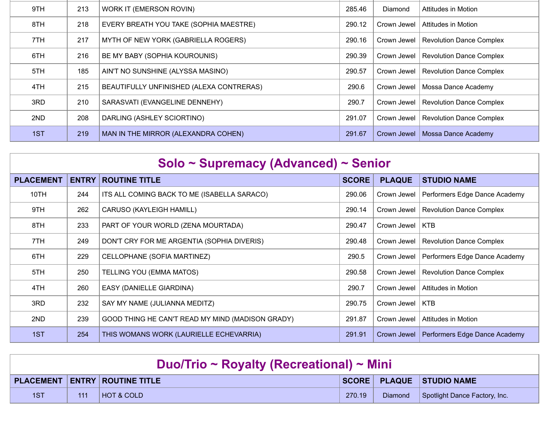| 9TH | 213 | <b>WORK IT (EMERSON ROVIN)</b>           | 285.46 | Diamond     | Attitudes in Motion      |
|-----|-----|------------------------------------------|--------|-------------|--------------------------|
| 8TH | 218 | EVERY BREATH YOU TAKE (SOPHIA MAESTRE)   | 290.12 | Crown Jewel | Attitudes in Motion      |
| 7TH | 217 | MYTH OF NEW YORK (GABRIELLA ROGERS)      | 290.16 | Crown Jewel | Revolution Dance Complex |
| 6TH | 216 | <b>BE MY BABY (SOPHIA KOUROUNIS)</b>     | 290.39 | Crown Jewel | Revolution Dance Complex |
| 5TH | 185 | AIN'T NO SUNSHINE (ALYSSA MASINO)        | 290.57 | Crown Jewel | Revolution Dance Complex |
| 4TH | 215 | BEAUTIFULLY UNFINISHED (ALEXA CONTRERAS) | 290.6  | Crown Jewel | Mossa Dance Academy      |
| 3RD | 210 | SARASVATI (EVANGELINE DENNEHY)           | 290.7  | Crown Jewel | Revolution Dance Complex |
| 2ND | 208 | DARLING (ASHLEY SCIORTINO)               | 291.07 | Crown Jewel | Revolution Dance Complex |
| 1ST | 219 | MAN IN THE MIRROR (ALEXANDRA COHEN)      | 291.67 | Crown Jewel | Mossa Dance Academy      |

| Solo ~ Supremacy (Advanced) ~ Senior |              |                                                  |              |               |                                 |  |  |
|--------------------------------------|--------------|--------------------------------------------------|--------------|---------------|---------------------------------|--|--|
| <b>PLACEMENT</b>                     | <b>ENTRY</b> | <b>ROUTINE TITLE</b>                             | <b>SCORE</b> | <b>PLAQUE</b> | <b>STUDIO NAME</b>              |  |  |
| 10TH                                 | 244          | ITS ALL COMING BACK TO ME (ISABELLA SARACO)      | 290.06       | Crown Jewel   | Performers Edge Dance Academy   |  |  |
| 9TH                                  | 262          | CARUSO (KAYLEIGH HAMILL)                         | 290.14       | Crown Jewel   | <b>Revolution Dance Complex</b> |  |  |
| 8TH                                  | 233          | PART OF YOUR WORLD (ZENA MOURTADA)               | 290.47       | Crown Jewel   | <b>KTB</b>                      |  |  |
| 7TH                                  | 249          | DON'T CRY FOR ME ARGENTIA (SOPHIA DIVERIS)       | 290.48       | Crown Jewel   | <b>Revolution Dance Complex</b> |  |  |
| 6TH                                  | 229          | CELLOPHANE (SOFIA MARTINEZ)                      | 290.5        | Crown Jewel   | Performers Edge Dance Academy   |  |  |
| 5TH                                  | 250          | TELLING YOU (EMMA MATOS)                         | 290.58       | Crown Jewel   | <b>Revolution Dance Complex</b> |  |  |
| 4TH                                  | 260          | EASY (DANIELLE GIARDINA)                         | 290.7        | Crown Jewel   | Attitudes in Motion             |  |  |
| 3RD                                  | 232          | SAY MY NAME (JULIANNA MEDITZ)                    | 290.75       | Crown Jewel   | <b>KTB</b>                      |  |  |
| 2ND                                  | 239          | GOOD THING HE CAN'T READ MY MIND (MADISON GRADY) | 291.87       | Crown Jewel   | <b>Attitudes in Motion</b>      |  |  |
| 1ST                                  | 254          | THIS WOMANS WORK (LAURIELLE ECHEVARRIA)          | 291.91       | Crown Jewel   | Performers Edge Dance Academy   |  |  |

| Duo/Trio ~ Royalty (Recreational) ~ Mini |     |                                            |        |  |                                         |  |
|------------------------------------------|-----|--------------------------------------------|--------|--|-----------------------------------------|--|
|                                          |     | <b>PLACEMENT   ENTRY   ROUTINE TITLE  </b> |        |  | SCORE PLAQUE STUDIO NAME                |  |
| 1ST                                      | 111 | HOT & COLD                                 | 270.19 |  | Diamond   Spotlight Dance Factory, Inc. |  |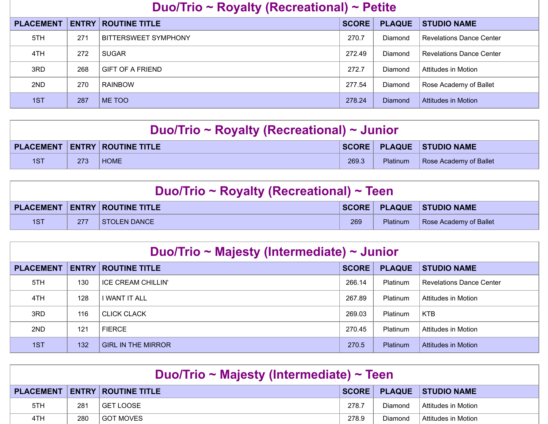## **Duo/Trio ~ Royalty (Recreational) ~ Petite**

| <b>PLACEMENT</b> |     | <b>ENTRY ROUTINE TITLE</b> | <b>SCORE</b> | <b>PLAQUE</b> | <b>STUDIO NAME</b>              |
|------------------|-----|----------------------------|--------------|---------------|---------------------------------|
| 5TH              | 271 | BITTERSWEET SYMPHONY       | 270.7        | Diamond       | <b>Revelations Dance Center</b> |
| 4TH              | 272 | <b>SUGAR</b>               | 272.49       | Diamond       | <b>Revelations Dance Center</b> |
| 3RD              | 268 | GIFT OF A FRIEND           | 272.7        | Diamond       | Attitudes in Motion             |
| 2ND              | 270 | <b>RAINBOW</b>             | 277.54       | Diamond       | Rose Academy of Ballet          |
| 1ST              | 287 | ME TOO                     | 278.24       | Diamond       | Attitudes in Motion             |

| Duo/Trio ~ Royalty (Recreational) ~ Junior |     |                                      |       |          |                                 |
|--------------------------------------------|-----|--------------------------------------|-------|----------|---------------------------------|
|                                            |     | <b>PLACEMENT ENTRY ROUTINE TITLE</b> |       |          | <b>SCORE PLAQUE STUDIO NAME</b> |
| 1ST                                        | 273 | <b>HOME</b>                          | 269.3 | Platinum | Rose Academy of Ballet          |

| Duo/Trio ~ Royalty (Recreational) ~ Teen |     |                                                    |     |                 |                          |
|------------------------------------------|-----|----------------------------------------------------|-----|-----------------|--------------------------|
|                                          |     | $\mid$ PLACEMENT $\mid$ ENTRY $\mid$ ROUTINE TITLE |     |                 | SCORE PLAQUE STUDIO NAME |
| 1ST                                      | 277 | STOLEN DANCE                                       | 269 | <b>Platinum</b> | Rose Academy of Ballet   |

| Duo/Trio ~ Majesty (Intermediate) ~ Junior |     |                            |              |               |                                 |  |
|--------------------------------------------|-----|----------------------------|--------------|---------------|---------------------------------|--|
| <b>PLACEMENT</b>                           |     | <b>ENTRY ROUTINE TITLE</b> | <b>SCORE</b> | <b>PLAQUE</b> | <b>STUDIO NAME</b>              |  |
| 5TH                                        | 130 | ICE CREAM CHILLIN'         | 266.14       | Platinum      | <b>Revelations Dance Center</b> |  |
| 4TH                                        | 128 | I WANT IT ALL              | 267.89       | Platinum      | Attitudes in Motion             |  |
| 3RD                                        | 116 | <b>CLICK CLACK</b>         | 269.03       | Platinum      | <b>KTB</b>                      |  |
| 2ND                                        | 121 | <b>FIERCE</b>              | 270.45       | Platinum      | Attitudes in Motion             |  |
| 1ST                                        | 132 | <b>GIRL IN THE MIRROR</b>  | 270.5        | Platinum      | Attitudes in Motion             |  |

| Duo/Trio ~ Majesty (Intermediate) ~ Teen |     |                                          |       |         |                          |  |
|------------------------------------------|-----|------------------------------------------|-------|---------|--------------------------|--|
|                                          |     | <b>PLACEMENT   ENTRY   ROUTINE TITLE</b> |       |         | SCORE PLAQUE STUDIO NAME |  |
| 5TH                                      | 281 | l GET LOOSE                              | 278.7 | Diamond | Attitudes in Motion      |  |
| 4TH.                                     | 280 | I GOT MOVES                              | 278.9 | Diamond | ∣ Attitudes in Motion i  |  |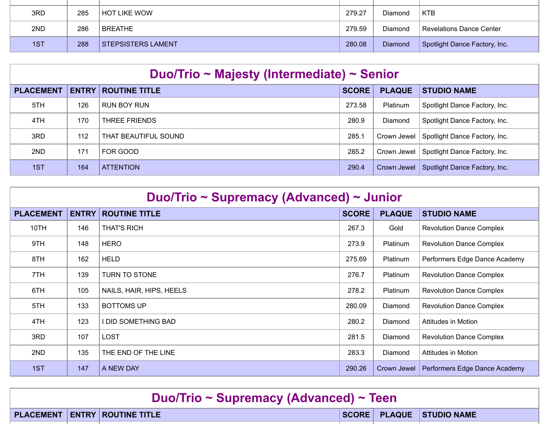| 3RD | 285 | HOT LIKE WOW              | 279.27 | <b>Diamond</b> | <b>KTB</b>                    |
|-----|-----|---------------------------|--------|----------------|-------------------------------|
| 2ND | 286 | l BREATHE                 | 279.59 | Diamond        | Revelations Dance Center      |
|     |     |                           |        |                |                               |
| 1ST | 288 | <b>STEPSISTERS LAMENT</b> | 280.08 | Diamond        | Spotlight Dance Factory, Inc. |

| Duo/Trio ~ Majesty (Intermediate) ~ Senior |              |                      |              |                 |                               |  |  |
|--------------------------------------------|--------------|----------------------|--------------|-----------------|-------------------------------|--|--|
| <b>PLACEMENT</b>                           | <b>ENTRY</b> | <b>ROUTINE TITLE</b> | <b>SCORE</b> | <b>PLAQUE</b>   | <b>STUDIO NAME</b>            |  |  |
| 5TH                                        | 126          | RUN BOY RUN          | 273.58       | <b>Platinum</b> | Spotlight Dance Factory, Inc. |  |  |
| 4TH                                        | 170          | <b>THREE FRIENDS</b> | 280.9        | Diamond         | Spotlight Dance Factory, Inc. |  |  |
| 3RD                                        | 112          | THAT BEAUTIFUL SOUND | 285.         | Crown Jewel     | Spotlight Dance Factory, Inc. |  |  |
| 2ND                                        | 171          | FOR GOOD             | 285.2        | Crown Jewel     | Spotlight Dance Factory, Inc. |  |  |
| 1ST                                        | 164          | <b>ATTENTION</b>     | 290.4        | Crown Jewel     | Spotlight Dance Factory, Inc. |  |  |

| Duo/Trio ~ Supremacy (Advanced) ~ Junior |              |                            |              |                 |                                 |  |  |
|------------------------------------------|--------------|----------------------------|--------------|-----------------|---------------------------------|--|--|
| <b>PLACEMENT</b>                         | <b>ENTRY</b> | <b>ROUTINE TITLE</b>       | <b>SCORE</b> | <b>PLAQUE</b>   | <b>STUDIO NAME</b>              |  |  |
| 10TH                                     | 146          | <b>THAT'S RICH</b>         | 267.3        | Gold            | <b>Revolution Dance Complex</b> |  |  |
| 9TH                                      | 148          | <b>HERO</b>                | 273.9        | <b>Platinum</b> | <b>Revolution Dance Complex</b> |  |  |
| 8TH                                      | 162          | <b>HELD</b>                | 275.69       | Platinum        | Performers Edge Dance Academy   |  |  |
| 7TH                                      | 139          | <b>TURN TO STONE</b>       | 276.7        | Platinum        | <b>Revolution Dance Complex</b> |  |  |
| 6TH                                      | 105          | NAILS, HAIR, HIPS, HEELS   | 278.2        | Platinum        | <b>Revolution Dance Complex</b> |  |  |
| 5TH                                      | 133          | <b>BOTTOMS UP</b>          | 280.09       | <b>Diamond</b>  | <b>Revolution Dance Complex</b> |  |  |
| 4TH                                      | 123          | <b>I DID SOMETHING BAD</b> | 280.2        | Diamond         | Attitudes in Motion             |  |  |
| 3RD                                      | 107          | <b>LOST</b>                | 281.5        | <b>Diamond</b>  | <b>Revolution Dance Complex</b> |  |  |
| 2ND                                      | 135          | THE END OF THE LINE        | 283.3        | Diamond         | <b>Attitudes in Motion</b>      |  |  |
| 1ST                                      | 147          | A NEW DAY                  | 290.26       | Crown Jewel     | Performers Edge Dance Academy   |  |  |

| Duo/Trio ~ Supremacy (Advanced) ~ Teen |  |                                      |  |  |                          |  |
|----------------------------------------|--|--------------------------------------|--|--|--------------------------|--|
|                                        |  | <b>PLACEMENT ENTRY ROUTINE TITLE</b> |  |  | SCORE PLAQUE STUDIO NAME |  |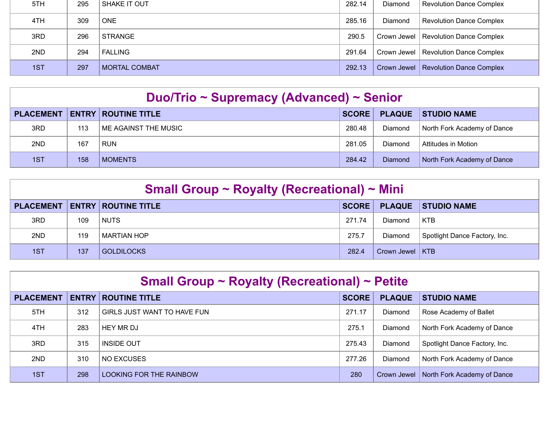| 5TH | 295 | SHAKE IT OUT         | 282.14 | Diamond | Revolution Dance Complex               |
|-----|-----|----------------------|--------|---------|----------------------------------------|
| 4TH | 309 | <b>ONE</b>           | 285.16 | Diamond | Revolution Dance Complex               |
| 3RD | 296 | <b>STRANGE</b>       | 290.5  |         | Crown Jewel   Revolution Dance Complex |
| 2ND | 294 | FALLING              | 291.64 |         | Crown Jewel   Revolution Dance Complex |
| 1ST | 297 | <b>MORTAL COMBAT</b> | 292.13 |         | Crown Jewel   Revolution Dance Complex |

|     |     | <b>PLACEMENT   ENTRY   ROUTINE TITLE</b> | SCORE  |                | PLAQUE STUDIO NAME          |
|-----|-----|------------------------------------------|--------|----------------|-----------------------------|
| 3RD | 113 | ME AGAINST THE MUSIC                     | 280.48 | Diamond        | North Fork Academy of Dance |
| 2ND | 167 | <b>RUN</b>                               | 281.05 | Diamond        | Attitudes in Motion         |
| 1ST | 158 | <b>MOMENTS</b>                           | 284.42 | <b>Diamond</b> | North Fork Academy of Dance |

| Small Group ~ Royalty (Recreational) ~ Mini |     |                            |              |                   |                               |  |  |
|---------------------------------------------|-----|----------------------------|--------------|-------------------|-------------------------------|--|--|
| <b>PLACEMENT</b>                            |     | <b>ENTRY ROUTINE TITLE</b> | <b>SCORE</b> | <b>PLAQUE</b>     | <b>STUDIO NAME</b>            |  |  |
| 3RD                                         | 109 | <b>NUTS</b>                | 271.74       | Diamond           | <b>KTB</b>                    |  |  |
| 2ND                                         | 119 | MARTIAN HOP                | 275.7        | Diamond           | Spotlight Dance Factory, Inc. |  |  |
| 1ST                                         | 137 | <b>GOLDILOCKS</b>          | 282.4        | Crown Jewel   KTB |                               |  |  |

| <b>Small Group ~ Royalty (Recreational) ~ Petite</b> |              |                                |              |               |                               |  |  |
|------------------------------------------------------|--------------|--------------------------------|--------------|---------------|-------------------------------|--|--|
| <b>PLACEMENT</b>                                     | <b>ENTRY</b> | <b>ROUTINE TITLE</b>           | <b>SCORE</b> | <b>PLAQUE</b> | <b>STUDIO NAME</b>            |  |  |
| 5TH                                                  | 312          | GIRLS JUST WANT TO HAVE FUN    | 271.17       | Diamond       | Rose Academy of Ballet        |  |  |
| 4TH                                                  | 283          | HEY MR DJ                      | 275.1        | Diamond       | North Fork Academy of Dance   |  |  |
| 3RD                                                  | 315          | <b>INSIDE OUT</b>              | 275.43       | Diamond       | Spotlight Dance Factory, Inc. |  |  |
| 2ND                                                  | 310          | NO EXCUSES                     | 277.26       | Diamond       | North Fork Academy of Dance   |  |  |
| 1ST                                                  | 298          | <b>LOOKING FOR THE RAINBOW</b> | 280          | Crown Jewel   | North Fork Academy of Dance   |  |  |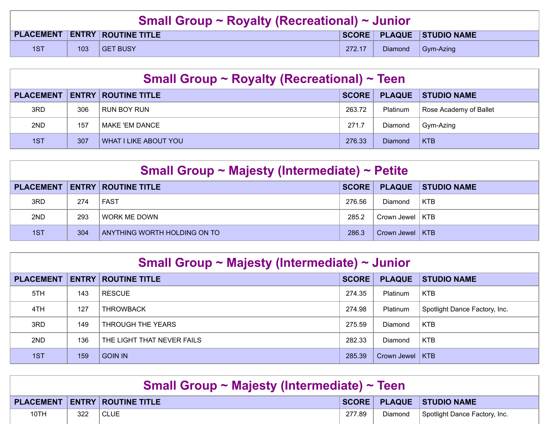| <b>Small Group ~ Royalty (Recreational) ~ Junior</b> |     |                                      |        |                |                          |  |
|------------------------------------------------------|-----|--------------------------------------|--------|----------------|--------------------------|--|
|                                                      |     | <b>PLACEMENT ENTRY ROUTINE TITLE</b> |        |                | SCORE PLAQUE STUDIO NAME |  |
| 1ST                                                  | 103 | <b>GET BUSY</b>                      | 272.17 | <b>Diamond</b> | $\Box$ Gym-Azing         |  |

| <b>Small Group ~ Royalty (Recreational) ~ Teen</b> |     |                                      |              |                 |                        |  |
|----------------------------------------------------|-----|--------------------------------------|--------------|-----------------|------------------------|--|
|                                                    |     | <b>PLACEMENT ENTRY ROUTINE TITLE</b> | <b>SCORE</b> | <b>PLAQUE</b>   | <b>STUDIO NAME</b>     |  |
| 3RD                                                | 306 | RUN BOY RUN                          | 263.72       | <b>Platinum</b> | Rose Academy of Ballet |  |
| 2ND                                                | 157 | MAKE 'EM DANCE                       | 271.7        | Diamond         | Gym-Azing              |  |
| 1ST                                                | 307 | WHAT I LIKE ABOUT YOU                | 276.33       | <b>Diamond</b>  | <b>KTB</b>             |  |

| Small Group ~ Majesty (Intermediate) ~ Petite |     |                              |        |                   |                    |  |  |
|-----------------------------------------------|-----|------------------------------|--------|-------------------|--------------------|--|--|
| <b>PLACEMENT</b>                              |     | <b>ENTRY   ROUTINE TITLE</b> | SCORE  | <b>PLAQUE</b>     | <b>STUDIO NAME</b> |  |  |
| 3RD                                           | 274 | <b>FAST</b>                  | 276.56 | Diamond           | <b>KTB</b>         |  |  |
| 2ND                                           | 293 | l WORK ME DOWN               | 285.2  | Crown Jewel   KTB |                    |  |  |
| 1ST                                           | 304 | ANYTHING WORTH HOLDING ON TO | 286.3  | Crown Jewel   KTB |                    |  |  |

| Small Group ~ Majesty (Intermediate) ~ Junior |              |                            |              |                   |                               |  |  |  |
|-----------------------------------------------|--------------|----------------------------|--------------|-------------------|-------------------------------|--|--|--|
| <b>PLACEMENT</b>                              | <b>ENTRY</b> | <b>ROUTINE TITLE</b>       | <b>SCORE</b> | <b>PLAQUE</b>     | <b>STUDIO NAME</b>            |  |  |  |
| 5TH                                           | 143          | <b>RESCUE</b>              | 274.35       | <b>Platinum</b>   | KTB                           |  |  |  |
| 4TH                                           | 127          | <b>THROWBACK</b>           | 274.98       | Platinum          | Spotlight Dance Factory, Inc. |  |  |  |
| 3RD                                           | 149          | THROUGH THE YEARS          | 275.59       | Diamond           | <b>KTB</b>                    |  |  |  |
| 2ND                                           | 136          | THE LIGHT THAT NEVER FAILS | 282.33       | Diamond           | <b>KTB</b>                    |  |  |  |
| 1ST                                           | 159          | <b>GOIN IN</b>             | 285.39       | Crown Jewel   KTB |                               |  |  |  |

| <b>Small Group ~ Majesty (Intermediate) ~ Teen</b>                   |     |             |        |           |                               |  |
|----------------------------------------------------------------------|-----|-------------|--------|-----------|-------------------------------|--|
| SCORE PLAQUE STUDIO NAME<br><b>PLACEMENT   ENTRY   ROUTINE TITLE</b> |     |             |        |           |                               |  |
| 10TH                                                                 | 322 | <b>CLUE</b> | 277.89 | Diamond ' | Spotlight Dance Factory, Inc. |  |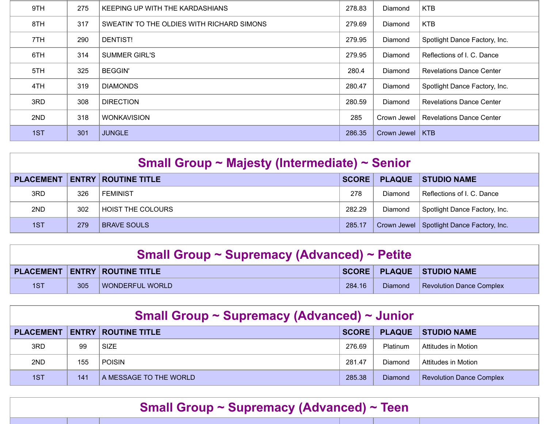| 9TH | 275 | KEEPING UP WITH THE KARDASHIANS            | 278.83 | Diamond        | <b>KTB</b>                      |
|-----|-----|--------------------------------------------|--------|----------------|---------------------------------|
| 8TH | 317 | SWEATIN' TO THE OLDIES WITH RICHARD SIMONS | 279.69 | Diamond        | <b>KTB</b>                      |
| 7TH | 290 | DENTIST!                                   | 279.95 | Diamond        | Spotlight Dance Factory, Inc.   |
| 6TH | 314 | <b>SUMMER GIRL'S</b>                       | 279.95 | Diamond        | Reflections of I. C. Dance      |
| 5TH | 325 | <b>BEGGIN'</b>                             | 280.4  | <b>Diamond</b> | <b>Revelations Dance Center</b> |
| 4TH | 319 | <b>DIAMONDS</b>                            | 280.47 | Diamond        | Spotlight Dance Factory, Inc.   |
| 3RD | 308 | <b>DIRECTION</b>                           | 280.59 | Diamond        | <b>Revelations Dance Center</b> |
| 2ND | 318 | <b>WONKAVISION</b>                         | 285    | Crown Jewel    | Revelations Dance Center        |
| 1ST | 301 | <b>JUNGLE</b>                              | 286.35 | Crown Jewel    | $ $ KTB                         |

| Small Group ~ Majesty (Intermediate) ~ Senior |     |                            |              |               |                                             |  |  |  |
|-----------------------------------------------|-----|----------------------------|--------------|---------------|---------------------------------------------|--|--|--|
| <b>PLACEMENT</b>                              |     | <b>ENTRY ROUTINE TITLE</b> | <b>SCORE</b> | <b>PLAQUE</b> | <b>STUDIO NAME</b>                          |  |  |  |
| 3RD                                           | 326 | ∣ FFMINIST                 | 278          | Diamond       | Reflections of L.C. Dance                   |  |  |  |
| 2ND                                           | 302 | <b>HOIST THE COLOURS</b>   | 282.29       | Diamond       | Spotlight Dance Factory, Inc.               |  |  |  |
| 1ST                                           | 279 | <b>BRAVE SOULS</b>         | 285.17       |               | Crown Jewel   Spotlight Dance Factory, Inc. |  |  |  |

| <b>Small Group ~ Supremacy (Advanced) ~ Petite</b> |     |                                      |        |         |                                 |  |  |
|----------------------------------------------------|-----|--------------------------------------|--------|---------|---------------------------------|--|--|
|                                                    |     | <b>PLACEMENT ENTRY ROUTINE TITLE</b> |        |         | SCORE   PLAQUE   STUDIO NAME    |  |  |
| 1ST                                                | 305 | WONDERFUL WORLD                      | 284.16 | Diamond | <b>Revolution Dance Complex</b> |  |  |

| Small Group ~ Supremacy (Advanced) ~ Junior |     |                            |        |                 |                                 |  |  |  |
|---------------------------------------------|-----|----------------------------|--------|-----------------|---------------------------------|--|--|--|
| <b>PLACEMENT</b>                            |     | <b>ENTRY ROUTINE TITLE</b> | SCORE  | <b>PLAQUE</b>   | <b>STUDIO NAME</b>              |  |  |  |
| 3RD                                         | 99  | <b>SIZE</b>                | 276.69 | <b>Platinum</b> | Attitudes in Motion             |  |  |  |
| 2ND                                         | 155 | Poisin                     | 281.47 | <b>Diamond</b>  | Attitudes in Motion             |  |  |  |
| 1ST                                         | 141 | A MESSAGE TO THE WORLD     | 285.38 | <b>Diamond</b>  | <b>Revolution Dance Complex</b> |  |  |  |

## **Small Group ~ Supremacy (Advanced) ~ Teen**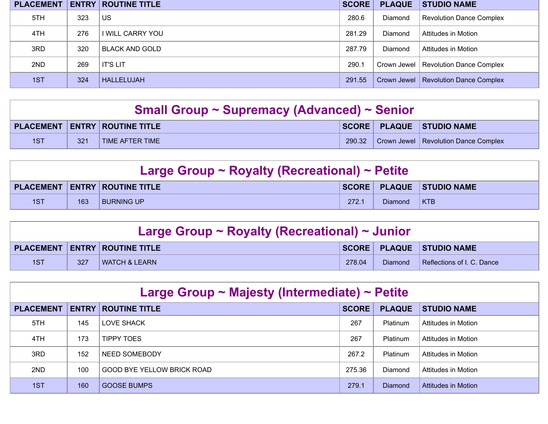| <b>PLACEMENT</b> |     | <b>ENTRY   ROUTINE TITLE</b> | <b>SCORE</b> | <b>PLAQUE</b>  | <b>STUDIO NAME</b>                     |
|------------------|-----|------------------------------|--------------|----------------|----------------------------------------|
| 5TH              | 323 | US                           | 280.6        | Diamond        | Revolution Dance Complex               |
| 4TH              | 276 | I WILL CARRY YOU             | 281.29       | Diamond        | Attitudes in Motion                    |
| 3RD              | 320 | <b>BLACK AND GOLD</b>        | 287.79       | <b>Diamond</b> | <b>Attitudes in Motion</b>             |
| 2ND              | 269 | <b>IT'S LIT</b>              | 290.1        |                | Crown Jewel   Revolution Dance Complex |
| 1ST              | 324 | <b>HALLELUJAH</b>            | 291.55       |                | Crown Jewel   Revolution Dance Complex |

| <b>Small Group ~ Supremacy (Advanced) ~ Senior</b> |     |                                      |        |  |                                      |  |
|----------------------------------------------------|-----|--------------------------------------|--------|--|--------------------------------------|--|
|                                                    |     | <b>PLACEMENT ENTRY ROUTINE TITLE</b> |        |  | SCORE PLAQUE STUDIO NAME             |  |
| 1ST                                                | 321 | TIME AFTER TIME                      | 290.32 |  | Crown Jewel Revolution Dance Complex |  |

| Large Group $\sim$ Royalty (Recreational) $\sim$ Petite |     |                                                    |       |                |                              |  |  |
|---------------------------------------------------------|-----|----------------------------------------------------|-------|----------------|------------------------------|--|--|
|                                                         |     | $\mid$ PLACEMENT $\mid$ ENTRY $\mid$ ROUTINE TITLE |       |                | SCORE   PLAQUE   STUDIO NAME |  |  |
| 1ST                                                     | 163 | <b>BURNING UP</b>                                  | 272.7 | <b>Diamond</b> | $ $ KTB                      |  |  |

| Large Group ~ Royalty (Recreational) ~ Junior |     |                                   |        |         |                            |  |  |
|-----------------------------------------------|-----|-----------------------------------|--------|---------|----------------------------|--|--|
|                                               |     | PLACEMENT   ENTRY   ROUTINE TITLE |        |         | SCORE PLAQUE STUDIO NAME   |  |  |
| 1ST                                           | 327 | l WATCH & LEARN                   | 278.04 | Diamond | Reflections of I. C. Dance |  |  |

| Large Group $\sim$ Majesty (Intermediate) $\sim$ Petite |              |                            |              |                 |                     |  |  |  |  |
|---------------------------------------------------------|--------------|----------------------------|--------------|-----------------|---------------------|--|--|--|--|
| <b>PLACEMENT</b>                                        | <b>ENTRY</b> | <b>ROUTINE TITLE</b>       | <b>SCORE</b> | <b>PLAQUE</b>   | <b>STUDIO NAME</b>  |  |  |  |  |
| 5TH                                                     | 145          | LOVE SHACK                 | 267          | <b>Platinum</b> | Attitudes in Motion |  |  |  |  |
| 4TH                                                     | 173          | <b>TIPPY TOES</b>          | 267          | <b>Platinum</b> | Attitudes in Motion |  |  |  |  |
| 3RD.                                                    | 152          | NEED SOMEBODY              | 267.2        | Platinum        | Attitudes in Motion |  |  |  |  |
| 2ND                                                     | 100          | GOOD BYE YELLOW BRICK ROAD | 275.36       | <b>Diamond</b>  | Attitudes in Motion |  |  |  |  |
| 1ST                                                     | 160          | <b>GOOSE BUMPS</b>         | 279.1        | <b>Diamond</b>  | Attitudes in Motion |  |  |  |  |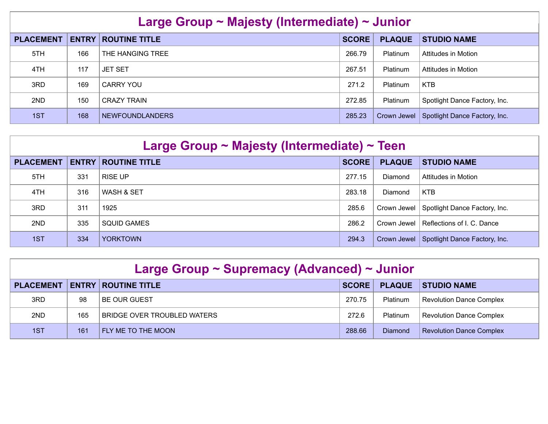| Large Group ~ Majesty (Intermediate) ~ Junior |              |                      |              |                 |                               |  |  |  |
|-----------------------------------------------|--------------|----------------------|--------------|-----------------|-------------------------------|--|--|--|
| <b>PLACEMENT</b>                              | <b>ENTRY</b> | <b>ROUTINE TITLE</b> | <b>SCORE</b> | <b>PLAQUE</b>   | <b>STUDIO NAME</b>            |  |  |  |
| 5TH                                           | 166          | THE HANGING TREE     | 266.79       | <b>Platinum</b> | Attitudes in Motion           |  |  |  |
| 4TH                                           | 117          | <b>JET SET</b>       | 267.51       | Platinum        | Attitudes in Motion           |  |  |  |
| 3RD                                           | 169          | CARRY YOU            | 271.2        | Platinum        | <b>KTB</b>                    |  |  |  |
| 2ND                                           | 150          | <b>CRAZY TRAIN</b>   | 272.85       | <b>Platinum</b> | Spotlight Dance Factory, Inc. |  |  |  |
| 1ST                                           | 168          | NEWFOUNDLANDERS      | 285.23       | Crown Jewel     | Spotlight Dance Factory, Inc. |  |  |  |

| Large Group $\sim$ Majesty (Intermediate) $\sim$ Teen                                                           |     |                    |        |         |                                             |  |  |
|-----------------------------------------------------------------------------------------------------------------|-----|--------------------|--------|---------|---------------------------------------------|--|--|
| <b>SCORE</b><br><b>PLAQUE</b><br><b>PLACEMENT</b><br><b>ENTRY</b><br><b>ROUTINE TITLE</b><br><b>STUDIO NAME</b> |     |                    |        |         |                                             |  |  |
| 5TH                                                                                                             | 331 | <b>RISE UP</b>     | 277.15 | Diamond | Attitudes in Motion                         |  |  |
| 4TH.                                                                                                            | 316 | WASH & SET         | 283.18 | Diamond | <b>KTB</b>                                  |  |  |
| 3RD                                                                                                             | 311 | 1925               | 285.6  |         | Crown Jewel   Spotlight Dance Factory, Inc. |  |  |
| 2ND                                                                                                             | 335 | <b>SQUID GAMES</b> | 286.2  |         | Crown Jewel   Reflections of I. C. Dance    |  |  |
| 1ST                                                                                                             | 334 | <b>YORKTOWN</b>    | 294.3  |         | Crown Jewel   Spotlight Dance Factory, Inc. |  |  |

| Large Group ~ Supremacy (Advanced) ~ Junior |     |                                    |              |                 |                                 |  |  |
|---------------------------------------------|-----|------------------------------------|--------------|-----------------|---------------------------------|--|--|
| <b>PLACEMENT</b>                            |     | <b>ENTRY   ROUTINE TITLE</b>       | <b>SCORE</b> | <b>PLAQUE</b>   | <b>STUDIO NAME</b>              |  |  |
| 3RD                                         | 98  | <b>BE OUR GUEST</b>                | 270.75       | <b>Platinum</b> | <b>Revolution Dance Complex</b> |  |  |
| 2ND                                         | 165 | <b>BRIDGE OVER TROUBLED WATERS</b> | 272.6        | <b>Platinum</b> | <b>Revolution Dance Complex</b> |  |  |
| 1ST                                         | 161 | FLY ME TO THE MOON                 | 288.66       | Diamond         | <b>Revolution Dance Complex</b> |  |  |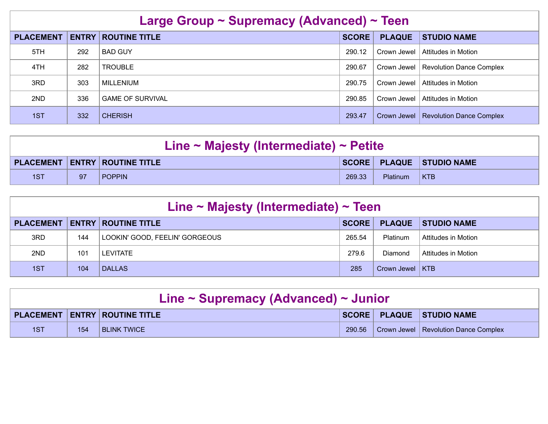| Large Group ~ Supremacy (Advanced) ~ Teen                                                                       |     |                         |        |             |                                 |  |  |
|-----------------------------------------------------------------------------------------------------------------|-----|-------------------------|--------|-------------|---------------------------------|--|--|
| <b>ENTRY</b><br><b>SCORE</b><br><b>PLACEMENT</b><br><b>ROUTINE TITLE</b><br><b>PLAQUE</b><br><b>STUDIO NAME</b> |     |                         |        |             |                                 |  |  |
| 5TH                                                                                                             | 292 | <b>BAD GUY</b>          | 290.12 | Crown Jewel | Attitudes in Motion             |  |  |
| 4TH                                                                                                             | 282 | <b>TROUBLE</b>          | 290.67 | Crown Jewel | <b>Revolution Dance Complex</b> |  |  |
| 3RD                                                                                                             | 303 | MILL ENIUM              | 290.75 | Crown Jewel | Attitudes in Motion             |  |  |
| 2ND                                                                                                             | 336 | <b>GAME OF SURVIVAL</b> | 290.85 | Crown Jewel | Attitudes in Motion             |  |  |
| 1ST                                                                                                             | 332 | <b>CHERISH</b>          | 293.47 | Crown Jewel | <b>Revolution Dance Complex</b> |  |  |

| Line $\sim$ Majesty (Intermediate) $\sim$ Petite                     |    |               |        |                 |         |  |  |
|----------------------------------------------------------------------|----|---------------|--------|-----------------|---------|--|--|
| <b>PLACEMENT   ENTRY   ROUTINE TITLE</b><br>SCORE PLAQUE STUDIO NAME |    |               |        |                 |         |  |  |
| 1ST                                                                  | 97 | <b>POPPIN</b> | 269.33 | <b>Platinum</b> | $ $ KTB |  |  |

| Line $\sim$ Majesty (Intermediate) $\sim$ Teen |     |                                |              |                   |                     |  |  |
|------------------------------------------------|-----|--------------------------------|--------------|-------------------|---------------------|--|--|
| <b>PLACEMENT</b>                               |     | <b>ENTRY   ROUTINE TITLE</b>   | <b>SCORE</b> | <b>PLAQUE</b>     | <b>STUDIO NAME</b>  |  |  |
| 3RD                                            | 144 | LOOKIN' GOOD, FEELIN' GORGEOUS | 265.54       | <b>Platinum</b>   | Attitudes in Motion |  |  |
| 2ND                                            | 101 | <b>LEVITATE</b>                | 279.6        | <b>Diamond</b>    | Attitudes in Motion |  |  |
| 1ST                                            | 104 | <b>DALLAS</b>                  | 285          | Crown Jewel   KTB |                     |  |  |

| Line $\sim$ Supremacy (Advanced) $\sim$ Junior                       |     |                    |        |  |                                        |  |  |
|----------------------------------------------------------------------|-----|--------------------|--------|--|----------------------------------------|--|--|
| SCORE PLAQUE STUDIO NAME<br><b>PLACEMENT   ENTRY   ROUTINE TITLE</b> |     |                    |        |  |                                        |  |  |
| 1ST                                                                  | 154 | <b>BLINK TWICE</b> | 290.56 |  | Crown Jewel   Revolution Dance Complex |  |  |